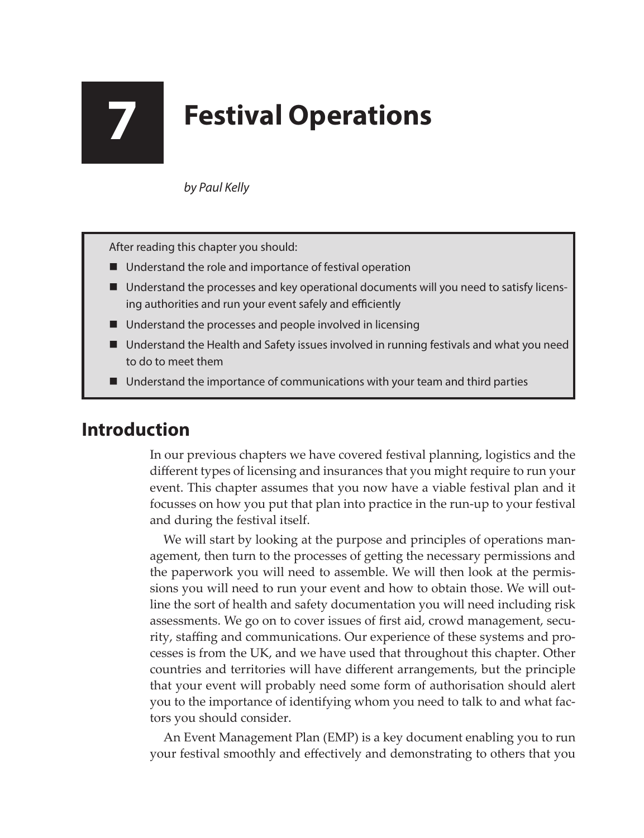# **7 Festival Operations**

*by Paul Kelly*

After reading this chapter you should:

- Understand the role and importance of festival operation
- Understand the processes and key operational documents will you need to satisfy licensing authorities and run your event safely and efficiently
- Understand the processes and people involved in licensing
- Understand the Health and Safety issues involved in running festivals and what you need to do to meet them
- Understand the importance of communications with your team and third parties

# **Introduction**

In our previous chapters we have covered festival planning, logistics and the different types of licensing and insurances that you might require to run your event. This chapter assumes that you now have a viable festival plan and it focusses on how you put that plan into practice in the run-up to your festival and during the festival itself.

We will start by looking at the purpose and principles of operations management, then turn to the processes of getting the necessary permissions and the paperwork you will need to assemble. We will then look at the permissions you will need to run your event and how to obtain those. We will outline the sort of health and safety documentation you will need including risk assessments. We go on to cover issues of first aid, crowd management, security, staffing and communications. Our experience of these systems and processes is from the UK, and we have used that throughout this chapter. Other countries and territories will have different arrangements, but the principle that your event will probably need some form of authorisation should alert you to the importance of identifying whom you need to talk to and what factors you should consider.

An Event Management Plan (EMP) is a key document enabling you to run your festival smoothly and effectively and demonstrating to others that you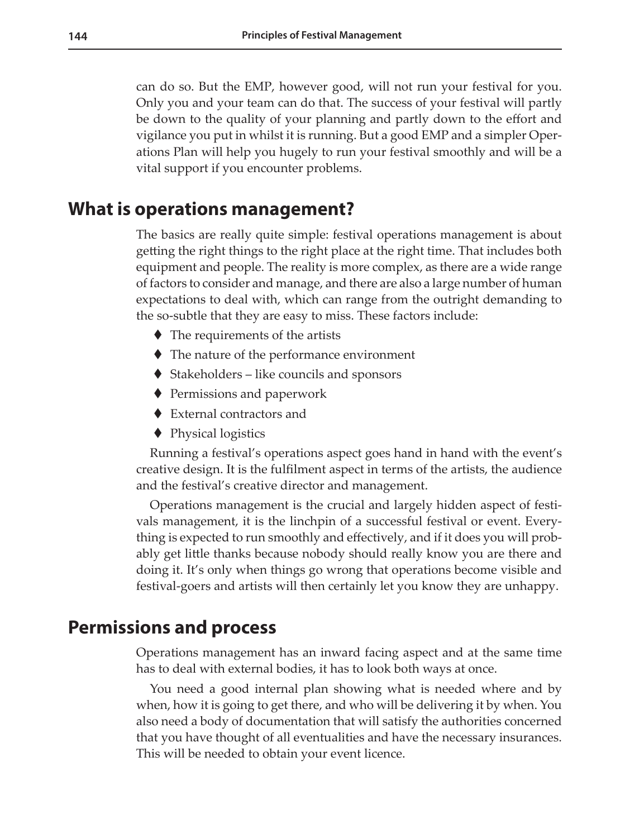can do so. But the EMP, however good, will not run your festival for you. Only you and your team can do that. The success of your festival will partly be down to the quality of your planning and partly down to the effort and vigilance you put in whilst it is running. But a good EMP and a simpler Operations Plan will help you hugely to run your festival smoothly and will be a vital support if you encounter problems.

## **What is operations management?**

The basics are really quite simple: festival operations management is about getting the right things to the right place at the right time. That includes both equipment and people. The reality is more complex, as there are a wide range of factors to consider and manage, and there are also a large number of human expectations to deal with, which can range from the outright demanding to the so-subtle that they are easy to miss. These factors include:

- ◆ The requirements of the artists
- The nature of the performance environment
- Stakeholders like councils and sponsors
- ◆ Permissions and paperwork
- External contractors and
- ◆ Physical logistics

Running a festival's operations aspect goes hand in hand with the event's creative design. It is the fulfilment aspect in terms of the artists, the audience and the festival's creative director and management.

Operations management is the crucial and largely hidden aspect of festivals management, it is the linchpin of a successful festival or event. Everything is expected to run smoothly and effectively, and if it does you will probably get little thanks because nobody should really know you are there and doing it. It's only when things go wrong that operations become visible and festival-goers and artists will then certainly let you know they are unhappy.

### **Permissions and process**

Operations management has an inward facing aspect and at the same time has to deal with external bodies, it has to look both ways at once.

You need a good internal plan showing what is needed where and by when, how it is going to get there, and who will be delivering it by when. You also need a body of documentation that will satisfy the authorities concerned that you have thought of all eventualities and have the necessary insurances. This will be needed to obtain your event licence.